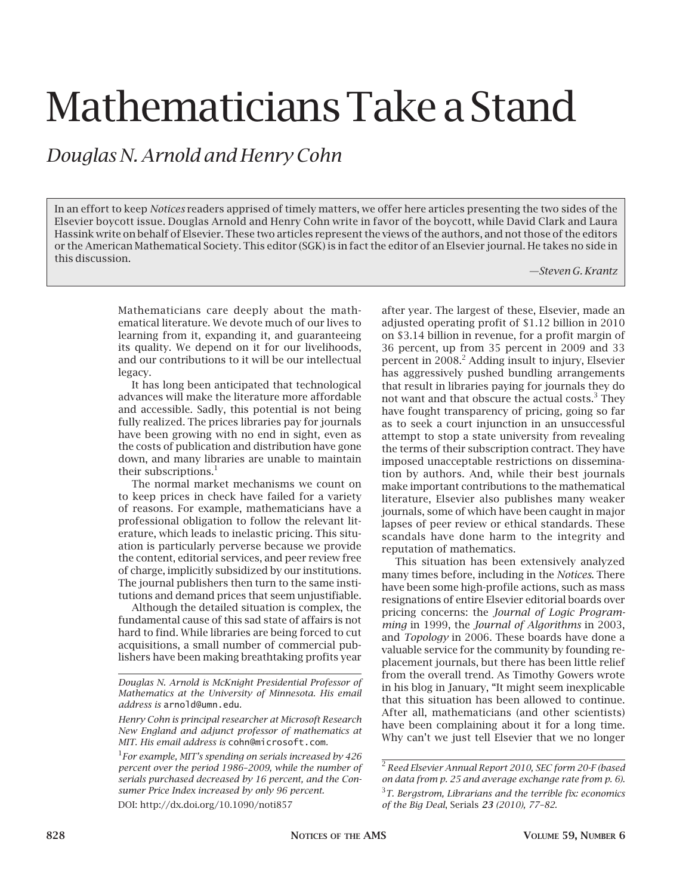# Mathematicians Take a Stand

### *Douglas N. Arnold and Henry Cohn*

In an effort to keep *Notices* readers apprised of timely matters, we offer here articles presenting the two sides of the Elsevier boycott issue. Douglas Arnold and Henry Cohn write in favor of the boycott, while David Clark and Laura Hassink write on behalf of Elsevier. These two articles represent the views of the authors, and not those of the editors or the American Mathematical Society. This editor (SGK) is in fact the editor of an Elsevier journal. He takes no side in this discussion.

*—Steven G. Krantz*

Mathematicians care deeply about the mathematical literature. We devote much of our lives to learning from it, expanding it, and guaranteeing its quality. We depend on it for our livelihoods, and our contributions to it will be our intellectual legacy.

It has long been anticipated that technological advances will make the literature more affordable and accessible. Sadly, this potential is not being fully realized. The prices libraries pay for journals have been growing with no end in sight, even as the costs of publication and distribution have gone down, and many libraries are unable to maintain their subscriptions. $<sup>1</sup>$ </sup>

The normal market mechanisms we count on to keep prices in check have failed for a variety of reasons. For example, mathematicians have a professional obligation to follow the relevant literature, which leads to inelastic pricing. This situation is particularly perverse because we provide the content, editorial services, and peer review free of charge, implicitly subsidized by our institutions. The journal publishers then turn to the same institutions and demand prices that seem unjustifiable.

Although the detailed situation is complex, the fundamental cause of this sad state of affairs is not hard to find. While libraries are being forced to cut acquisitions, a small number of commercial publishers have been making breathtaking profits year

DOI: http://dx.doi.org/10.1090/noti857

after year. The largest of these, Elsevier, made an adjusted operating profit of \$1.12 billion in 2010 on \$3.14 billion in revenue, for a profit margin of 36 percent, up from 35 percent in 2009 and 33 percent in 2008.<sup>2</sup> Adding insult to injury, Elsevier has aggressively pushed bundling arrangements that result in libraries paying for journals they do not want and that obscure the actual costs. $3$  They have fought transparency of pricing, going so far as to seek a court injunction in an unsuccessful attempt to stop a state university from revealing the terms of their subscription contract. They have imposed unacceptable restrictions on dissemination by authors. And, while their best journals make important contributions to the mathematical literature, Elsevier also publishes many weaker journals, some of which have been caught in major lapses of peer review or ethical standards. These scandals have done harm to the integrity and reputation of mathematics.

This situation has been extensively analyzed many times before, including in the *Notices*. There have been some high-profile actions, such as mass resignations of entire Elsevier editorial boards over pricing concerns: the *Journal of Logic Programming* in 1999, the *Journal of Algorithms* in 2003, and *Topology* in 2006. These boards have done a valuable service for the community by founding replacement journals, but there has been little relief from the overall trend. As Timothy Gowers wrote in his blog in January, "It might seem inexplicable that this situation has been allowed to continue. After all, mathematicians (and other scientists) have been complaining about it for a long time. Why can't we just tell Elsevier that we no longer

*Douglas N. Arnold is McKnight Presidential Professor of Mathematics at the University of Minnesota. His email address is* arnold@umn.edu*.*

*Henry Cohn is principal researcher at Microsoft Research New England and adjunct professor of mathematics at MIT. His email address is* cohn@microsoft.com*.*

<sup>1</sup> *For example, MIT's spending on serials increased by 426 percent over the period 1986–2009, while the number of serials purchased decreased by 16 percent, and the Consumer Price Index increased by only 96 percent.*

<sup>2</sup>*Reed Elsevier Annual Report 2010, SEC form 20-F (based on data from p. 25 and average exchange rate from p. 6).*

<sup>3</sup> *T. Bergstrom, Librarians and the terrible fix: economics of the Big Deal*, Serials *23 (2010), 77–82.*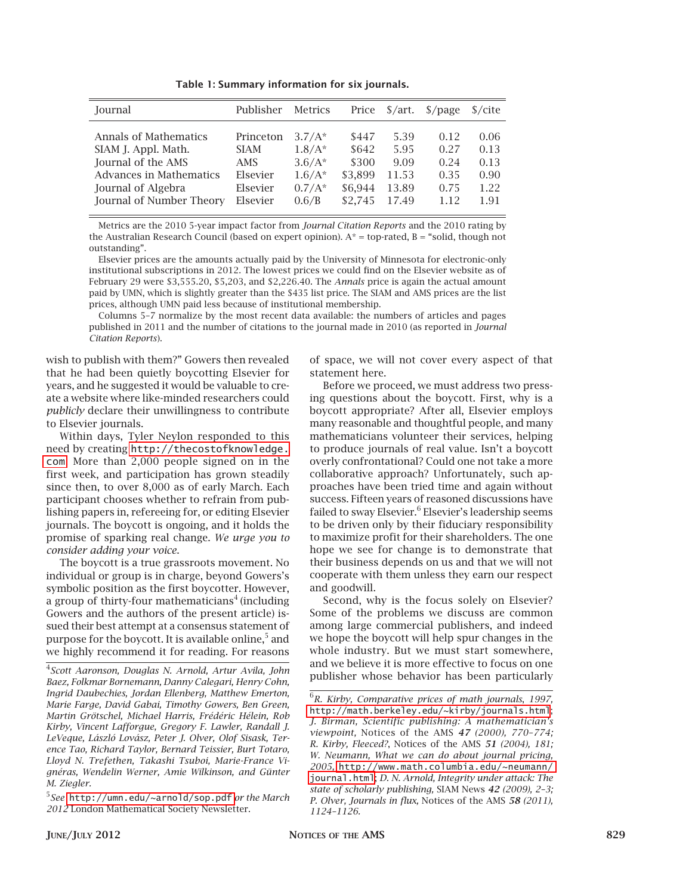**Table 1: Summary information for six journals.**

| Journal                  | Publisher   | Metrics  | Price   | $\frac{\text{S}}{\text{art}}$ . | $\sqrt{2}$ | $\frac{s}{\text{cite}}$ |
|--------------------------|-------------|----------|---------|---------------------------------|------------|-------------------------|
| Annals of Mathematics    | Princeton   | $3.7/A*$ | \$447   | 5.39                            | 0.12       | 0.06                    |
| SIAM J. Appl. Math.      | <b>SIAM</b> | $1.8/A*$ | \$642   | 5.95                            | 0.27       | 0.13                    |
| Journal of the AMS       | AMS.        | $3.6/A*$ | \$300   | 9.09                            | 0.24       | 0.13                    |
| Advances in Mathematics  | Elsevier    | $1.6/A*$ | \$3.899 | 11.53                           | 0.35       | 0.90                    |
| Journal of Algebra       | Elsevier    | $0.7/A*$ | \$6.944 | 13.89                           | 0.75       | 1.22                    |
| Journal of Number Theory | Elsevier    | 0.6/B    | \$2.745 | 17.49                           | 1 1 2      | 1.91                    |

Metrics are the 2010 5-year impact factor from *Journal Citation Reports* and the 2010 rating by the Australian Research Council (based on expert opinion).  $A^*$  = top-rated, B = "solid, though not outstanding".

Elsevier prices are the amounts actually paid by the University of Minnesota for electronic-only institutional subscriptions in 2012. The lowest prices we could find on the Elsevier website as of February 29 were \$3,555.20, \$5,203, and \$2,226.40. The *Annals* price is again the actual amount paid by UMN, which is slightly greater than the \$435 list price. The SIAM and AMS prices are the list prices, although UMN paid less because of institutional membership.

Columns 5–7 normalize by the most recent data available: the numbers of articles and pages published in 2011 and the number of citations to the journal made in 2010 (as reported in *Journal Citation Reports*).

wish to publish with them?" Gowers then revealed that he had been quietly boycotting Elsevier for years, and he suggested it would be valuable to create a website where like-minded researchers could *publicly* declare their unwillingness to contribute to Elsevier journals.

Within days, Tyler Neylon responded to this need by creating [http://thecostofknowledge.](http://thecostofknowledge.com) [com](http://thecostofknowledge.com). More than 2,000 people signed on in the first week, and participation has grown steadily since then, to over 8,000 as of early March. Each participant chooses whether to refrain from publishing papers in, refereeing for, or editing Elsevier journals. The boycott is ongoing, and it holds the promise of sparking real change. *We urge you to consider adding your voice*.

The boycott is a true grassroots movement. No individual or group is in charge, beyond Gowers's symbolic position as the first boycotter. However, a group of thirty-four mathematicians<sup>4</sup> (including Gowers and the authors of the present article) issued their best attempt at a consensus statement of purpose for the boycott. It is available online,<sup>5</sup> and we highly recommend it for reading. For reasons

4 *Scott Aaronson, Douglas N. Arnold, Artur Avila, John Baez, Folkmar Bornemann, Danny Calegari, Henry Cohn, Ingrid Daubechies, Jordan Ellenberg, Matthew Emerton, Marie Farge, David Gabai, Timothy Gowers, Ben Green, Martin Grötschel, Michael Harris, Frédéric Hélein, Rob Kirby, Vincent Lafforgue, Gregory F. Lawler, Randall J. LeVeque, László Lovász, Peter J. Olver, Olof Sisask, Terence Tao, Richard Taylor, Bernard Teissier, Burt Totaro, Lloyd N. Trefethen, Takashi Tsuboi, Marie-France Vignéras, Wendelin Werner, Amie Wilkinson, and Günter M. Ziegler.*

5 *See*<http://umn.edu/~arnold/sop.pdf> *or the March 2012* London Mathematical Society Newsletter.

of space, we will not cover every aspect of that statement here.

Before we proceed, we must address two pressing questions about the boycott. First, why is a boycott appropriate? After all, Elsevier employs many reasonable and thoughtful people, and many mathematicians volunteer their services, helping to produce journals of real value. Isn't a boycott overly confrontational? Could one not take a more collaborative approach? Unfortunately, such approaches have been tried time and again without success. Fifteen years of reasoned discussions have failed to sway Elsevier.<sup>6</sup> Elsevier's leadership seems to be driven only by their fiduciary responsibility to maximize profit for their shareholders. The one hope we see for change is to demonstrate that their business depends on us and that we will not cooperate with them unless they earn our respect and goodwill.

Second, why is the focus solely on Elsevier? Some of the problems we discuss are common among large commercial publishers, and indeed we hope the boycott will help spur changes in the whole industry. But we must start somewhere, and we believe it is more effective to focus on one publisher whose behavior has been particularly

<sup>6</sup> *R. Kirby, Comparative prices of math journals*, *1997,*  <http://math.berkeley.edu/~kirby/journals.html>; *J. Birman, Scientific publishing: A mathematician's viewpoint,* Notices of the AMS *47 (2000), 770–774; R. Kirby, Fleeced?*, Notices of the AMS *51 (2004), 181; W. Neumann, What we can do about journal pricing, 2005,* [http://www.math.columbia.edu/~neumann/](http://www.math.columbia.edu/~neumann/journal.html) [journal.html](http://www.math.columbia.edu/~neumann/journal.html); *D. N. Arnold, Integrity under attack: The state of scholarly publishing,* SIAM News *42 (2009), 2–3; P. Olver, Journals in flux,* Notices of the AMS *58 (2011), 1124–1126.*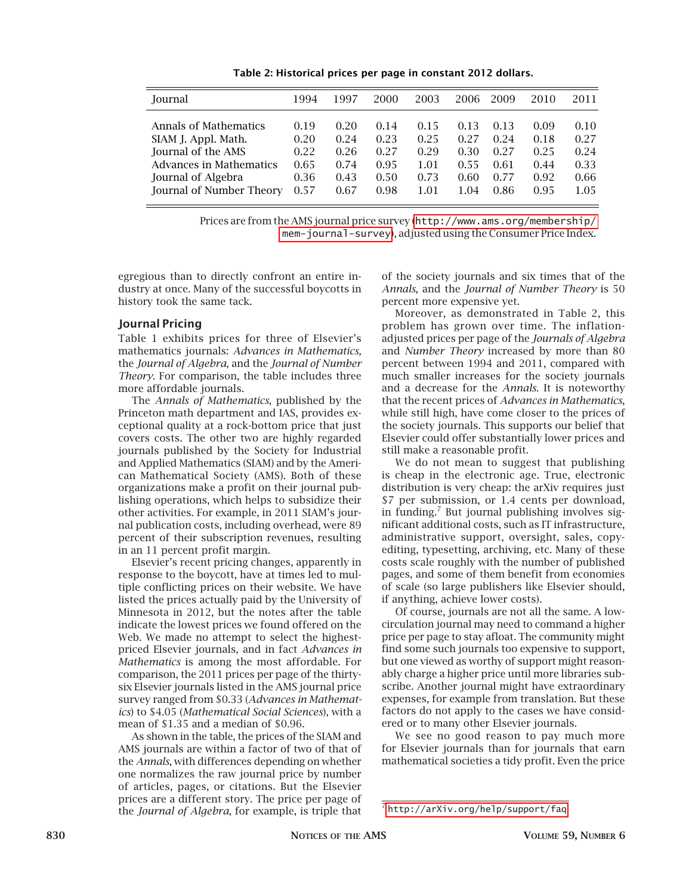| Journal                  | 1994 | 1997 | 2000 | 2003 | 2006 | 2009 | 2010 | 2011 |
|--------------------------|------|------|------|------|------|------|------|------|
| Annals of Mathematics    | 0.19 | 0.20 | 0.14 | 0.15 | 0.13 | 0.13 | 0.09 | 0.10 |
| SIAM J. Appl. Math.      | 0.20 | 0.24 | 0.23 | 0.25 | 0.27 | 0.24 | 0.18 | 0.27 |
| Journal of the AMS       | 0.22 | 0.26 | 0.27 | 0.29 | 0.30 | 0.27 | 0.25 | 0.24 |
| Advances in Mathematics  | 0.65 | 0.74 | 0.95 | 1.01 | 0.55 | 0.61 | 0.44 | 0.33 |
| Journal of Algebra       | 0.36 | 0.43 | 0.50 | 0.73 | 0.60 | 0.77 | 0.92 | 0.66 |
| Journal of Number Theory | 0.57 | 0.67 | 0.98 | 1.01 | 1.04 | 0.86 | 0.95 | 1.05 |
|                          |      |      |      |      |      |      |      |      |

**Table 2: Historical prices per page in constant 2012 dollars.**

Prices are from the AMS journal price survey ([http://www.ams.org/membership/](http://www.ams.org/membership/mem-journal-survey) [mem-journal-survey](http://www.ams.org/membership/mem-journal-survey)), adjusted using the Consumer Price Index.

egregious than to directly confront an entire industry at once. Many of the successful boycotts in history took the same tack.

#### **Journal Pricing**

Table 1 exhibits prices for three of Elsevier's mathematics journals: *Advances in Mathematics,*  the *Journal of Algebra*, and the *Journal of Number Theory*. For comparison, the table includes three more affordable journals.

The *Annals of Mathematics*, published by the Princeton math department and IAS, provides exceptional quality at a rock-bottom price that just covers costs. The other two are highly regarded journals published by the Society for Industrial and Applied Mathematics (SIAM) and by the American Mathematical Society (AMS). Both of these organizations make a profit on their journal publishing operations, which helps to subsidize their other activities. For example, in 2011 SIAM's journal publication costs, including overhead, were 89 percent of their subscription revenues, resulting in an 11 percent profit margin.

Elsevier's recent pricing changes, apparently in response to the boycott, have at times led to multiple conflicting prices on their website. We have listed the prices actually paid by the University of Minnesota in 2012, but the notes after the table indicate the lowest prices we found offered on the Web. We made no attempt to select the highestpriced Elsevier journals, and in fact *Advances in Mathematics* is among the most affordable. For comparison, the 2011 prices per page of the thirtysix Elsevier journals listed in the AMS journal price survey ranged from \$0.33 (*Advances in Mathematics*) to \$4.05 (*Mathematical Social Sciences*), with a mean of \$1.35 and a median of \$0.96.

As shown in the table, the prices of the SIAM and AMS journals are within a factor of two of that of the *Annals*, with differences depending on whether one normalizes the raw journal price by number of articles, pages, or citations. But the Elsevier prices are a different story. The price per page of the *Journal of Algebra*, for example, is triple that

of the society journals and six times that of the *Annals*, and the *Journal of Number Theory* is 50 percent more expensive yet.

Moreover, as demonstrated in Table 2, this problem has grown over time. The inflationadjusted prices per page of the *Journals of Algebra*  and *Number Theory* increased by more than 80 percent between 1994 and 2011, compared with much smaller increases for the society journals and a decrease for the *Annals*. It is noteworthy that the recent prices of *Advances in Mathematics*, while still high, have come closer to the prices of the society journals. This supports our belief that Elsevier could offer substantially lower prices and still make a reasonable profit.

We do not mean to suggest that publishing is cheap in the electronic age. True, electronic distribution is very cheap: the arXiv requires just \$7 per submission, or 1.4 cents per download, in funding.<sup>7</sup> But journal publishing involves significant additional costs, such as IT infrastructure, administrative support, oversight, sales, copyediting, typesetting, archiving, etc. Many of these costs scale roughly with the number of published pages, and some of them benefit from economies of scale (so large publishers like Elsevier should, if anything, achieve lower costs).

Of course, journals are not all the same. A lowcirculation journal may need to command a higher price per page to stay afloat. The community might find some such journals too expensive to support, but one viewed as worthy of support might reasonably charge a higher price until more libraries subscribe. Another journal might have extraordinary expenses, for example from translation. But these factors do not apply to the cases we have considered or to many other Elsevier journals.

We see no good reason to pay much more for Elsevier journals than for journals that earn mathematical societies a tidy profit. Even the price

 $^7$ <http://arXiv.org/help/support/faq>.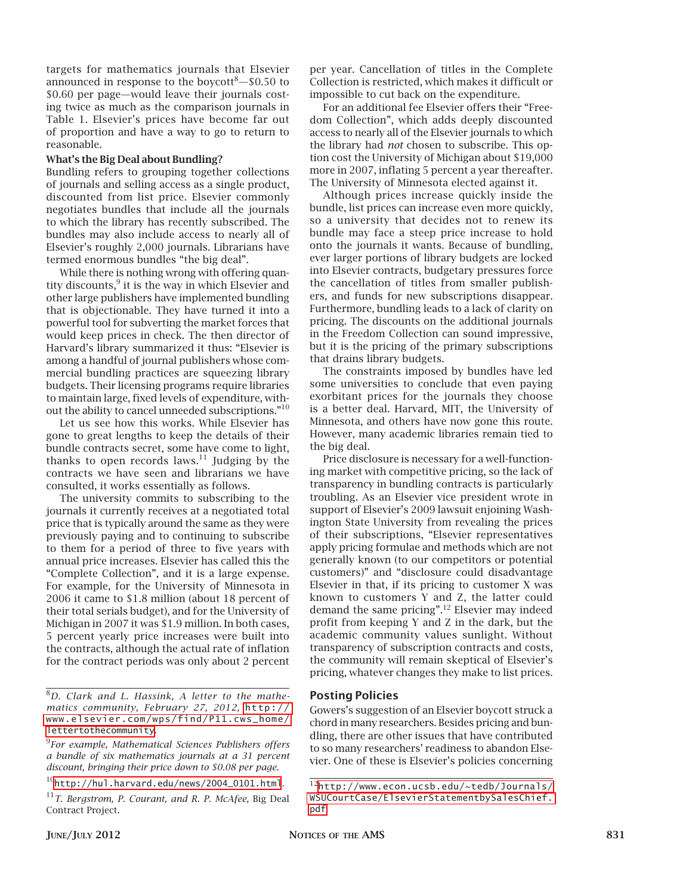targets for mathematics journals that Elsevier announced in response to the boycott $-$ \$0.50 to \$0.60 per page—would leave their journals costing twice as much as the comparison journals in Table 1. Elsevier's prices have become far out of proportion and have a way to go to return to reasonable.

#### **What's the Big Deal about Bundling?**

Bundling refers to grouping together collections of journals and selling access as a single product, discounted from list price. Elsevier commonly negotiates bundles that include all the journals to which the library has recently subscribed. The bundles may also include access to nearly all of Elsevier's roughly 2,000 journals. Librarians have termed enormous bundles "the big deal".

While there is nothing wrong with offering quantity discounts, $9$  it is the way in which Elsevier and other large publishers have implemented bundling that is objectionable. They have turned it into a powerful tool for subverting the market forces that would keep prices in check. The then director of Harvard's library summarized it thus: "Elsevier is among a handful of journal publishers whose commercial bundling practices are squeezing library budgets. Their licensing programs require libraries to maintain large, fixed levels of expenditure, without the ability to cancel unneeded subscriptions."10

Let us see how this works. While Elsevier has gone to great lengths to keep the details of their bundle contracts secret, some have come to light, thanks to open records laws. $11$  Judging by the contracts we have seen and librarians we have consulted, it works essentially as follows.

The university commits to subscribing to the journals it currently receives at a negotiated total price that is typically around the same as they were previously paying and to continuing to subscribe to them for a period of three to five years with annual price increases. Elsevier has called this the "Complete Collection", and it is a large expense. For example, for the University of Minnesota in 2006 it came to \$1.8 million (about 18 percent of their total serials budget), and for the University of Michigan in 2007 it was \$1.9 million. In both cases, 5 percent yearly price increases were built into the contracts, although the actual rate of inflation for the contract periods was only about 2 percent

9 *For example, Mathematical Sciences Publishers offers a bundle of six mathematics journals at a 31 percent discount, bringing their price down to \$0.08 per page.* 

per year. Cancellation of titles in the Complete Collection is restricted, which makes it difficult or impossible to cut back on the expenditure.

For an additional fee Elsevier offers their "Freedom Collection", which adds deeply discounted access to nearly all of the Elsevier journals to which the library had *not* chosen to subscribe. This option cost the University of Michigan about \$19,000 more in 2007, inflating 5 percent a year thereafter. The University of Minnesota elected against it.

Although prices increase quickly inside the bundle, list prices can increase even more quickly, so a university that decides not to renew its bundle may face a steep price increase to hold onto the journals it wants. Because of bundling, ever larger portions of library budgets are locked into Elsevier contracts, budgetary pressures force the cancellation of titles from smaller publishers, and funds for new subscriptions disappear. Furthermore, bundling leads to a lack of clarity on pricing. The discounts on the additional journals in the Freedom Collection can sound impressive, but it is the pricing of the primary subscriptions that drains library budgets.

The constraints imposed by bundles have led some universities to conclude that even paying exorbitant prices for the journals they choose is a better deal. Harvard, MIT, the University of Minnesota, and others have now gone this route. However, many academic libraries remain tied to the big deal.

Price disclosure is necessary for a well-functioning market with competitive pricing, so the lack of transparency in bundling contracts is particularly troubling. As an Elsevier vice president wrote in support of Elsevier's 2009 lawsuit enjoining Washington State University from revealing the prices of their subscriptions, "Elsevier representatives apply pricing formulae and methods which are not generally known (to our competitors or potential customers)" and "disclosure could disadvantage Elsevier in that, if its pricing to customer X was known to customers Y and Z, the latter could demand the same pricing".12 Elsevier may indeed profit from keeping Y and Z in the dark, but the academic community values sunlight. Without transparency of subscription contracts and costs, the community will remain skeptical of Elsevier's pricing, whatever changes they make to list prices.

#### **Posting Policies**

Gowers's suggestion of an Elsevier boycott struck a chord in many researchers. Besides pricing and bundling, there are other issues that have contributed to so many researchers' readiness to abandon Elsevier. One of these is Elsevier's policies concerning

<sup>8</sup> *D. Clark and L. Hassink, A letter to the mathematics community, February 27, 2012,* [http://](http://www.elsevier.com/wps/find/P11.cws_home/lettertothecommunity) [www.elsevier.com/wps/find/P11.cws\\_home/](http://www.elsevier.com/wps/find/P11.cws_home/lettertothecommunity) [lettertothecommunity](http://www.elsevier.com/wps/find/P11.cws_home/lettertothecommunity).

 $10$ [http://hul.harvard.edu/news/2004\\_0101.html](http://hul.harvard.edu/news/2004_0101.html).

<sup>11</sup>*T. Bergstrom, P. Courant, and R. P. McAfee,* Big Deal Contract Project*.*

<sup>12</sup>[http://www.econ.ucsb.edu/~tedb/Journals/](http://www.econ.ucsb.edu/~tedb/Journals/WSUCourtCase/ElsevierStatementbySalesChief.pdf) [WSUCourtCase/ElsevierStatementbySalesChief.](http://www.econ.ucsb.edu/~tedb/Journals/WSUCourtCase/ElsevierStatementbySalesChief.pdf) [pdf](http://www.econ.ucsb.edu/~tedb/Journals/WSUCourtCase/ElsevierStatementbySalesChief.pdf).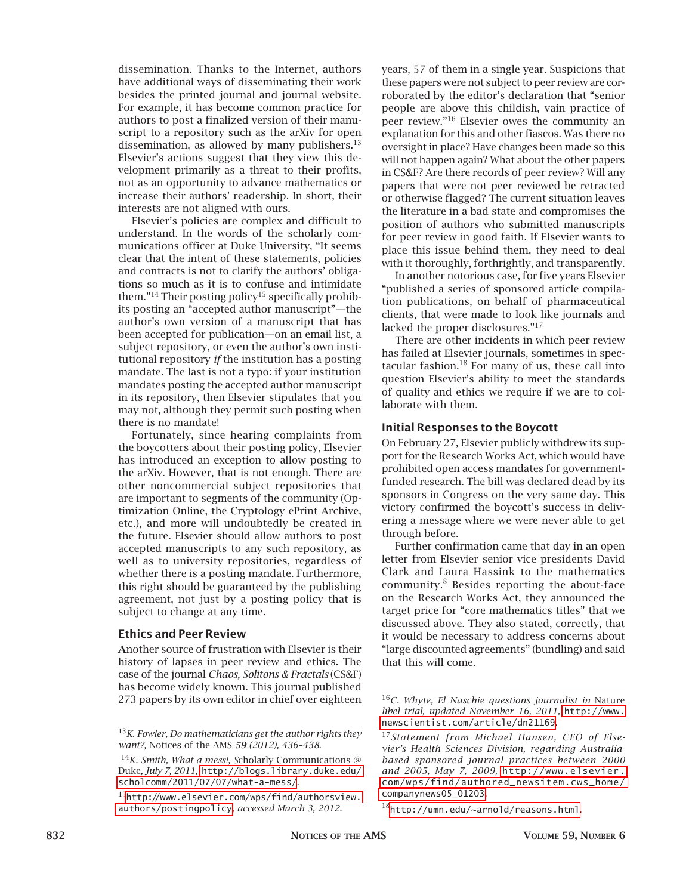dissemination. Thanks to the Internet, authors have additional ways of disseminating their work besides the printed journal and journal website. For example, it has become common practice for authors to post a finalized version of their manuscript to a repository such as the arXiv for open dissemination, as allowed by many publishers. $^{13}$ Elsevier's actions suggest that they view this development primarily as a threat to their profits, not as an opportunity to advance mathematics or increase their authors' readership. In short, their interests are not aligned with ours.

Elsevier's policies are complex and difficult to understand. In the words of the scholarly communications officer at Duke University, "It seems clear that the intent of these statements, policies and contracts is not to clarify the authors' obligations so much as it is to confuse and intimidate them."<sup>14</sup> Their posting policy<sup>15</sup> specifically prohibits posting an "accepted author manuscript"—the author's own version of a manuscript that has been accepted for publication—on an email list, a subject repository, or even the author's own institutional repository *if* the institution has a posting mandate. The last is not a typo: if your institution mandates posting the accepted author manuscript in its repository, then Elsevier stipulates that you may not, although they permit such posting when there is no mandate!

Fortunately, since hearing complaints from the boycotters about their posting policy, Elsevier has introduced an exception to allow posting to the arXiv. However, that is not enough. There are other noncommercial subject repositories that are important to segments of the community (Optimization Online, the Cryptology ePrint Archive, etc.), and more will undoubtedly be created in the future. Elsevier should allow authors to post accepted manuscripts to any such repository, as well as to university repositories, regardless of whether there is a posting mandate. Furthermore, this right should be guaranteed by the publishing agreement, not just by a posting policy that is subject to change at any time.

#### **Ethics and Peer Review**

**A**nother source of frustration with Elsevier is their history of lapses in peer review and ethics. The case of the journal *Chaos, Solitons & Fractals* (CS&F) has become widely known. This journal published 273 papers by its own editor in chief over eighteen

years, 57 of them in a single year. Suspicions that these papers were not subject to peer review are corroborated by the editor's declaration that "senior people are above this childish, vain practice of peer review."16 Elsevier owes the community an explanation for this and other fiascos. Was there no oversight in place? Have changes been made so this will not happen again? What about the other papers in CS&F? Are there records of peer review? Will any papers that were not peer reviewed be retracted or otherwise flagged? The current situation leaves the literature in a bad state and compromises the position of authors who submitted manuscripts for peer review in good faith. If Elsevier wants to place this issue behind them, they need to deal with it thoroughly, forthrightly, and transparently.

In another notorious case, for five years Elsevier "published a series of sponsored article compilation publications, on behalf of pharmaceutical clients, that were made to look like journals and lacked the proper disclosures."17

There are other incidents in which peer review has failed at Elsevier journals, sometimes in spectacular fashion. $^{18}$  For many of us, these call into question Elsevier's ability to meet the standards of quality and ethics we require if we are to collaborate with them.

#### **Initial Responses to the Boycott**

On February 27, Elsevier publicly withdrew its support for the Research Works Act, which would have prohibited open access mandates for governmentfunded research. The bill was declared dead by its sponsors in Congress on the very same day. This victory confirmed the boycott's success in delivering a message where we were never able to get through before.

Further confirmation came that day in an open letter from Elsevier senior vice presidents David Clark and Laura Hassink to the mathematics community.<sup>8</sup> Besides reporting the about-face on the Research Works Act, they announced the target price for "core mathematics titles" that we discussed above. They also stated, correctly, that it would be necessary to address concerns about "large discounted agreements" (bundling) and said that this will come.

<sup>13</sup>*K. Fowler, Do mathematicians get the author rights they want?,* Notices of the AMS *59 (2012), 436–438.*

<sup>14</sup>*K. Smith, What a mess!, S*cholarly Communications @ Duke*, July 7, 2011,* [http://blogs.library.duke.edu/](http://blogs.library.duke.edu/scholcomm/2011/07/07/what-a-mess/) [scholcomm/2011/07/07/what-a-mess/](http://blogs.library.duke.edu/scholcomm/2011/07/07/what-a-mess/).

<sup>15</sup>[http://www.elsevier.com/wps/find/authorsview.](http://www.elsevier.com/wps/find/authorsview.authors/postingpolicy) [authors/postingpolicy](http://www.elsevier.com/wps/find/authorsview.authors/postingpolicy)*, accessed March 3, 2012.* 

<sup>16</sup>*C. Whyte, El Naschie questions journalist in* Nature *libel trial, updated November 16, 2011,* [http://www.](http://www.newscientist.com/article/dn21169) [newscientist.com/article/dn21169](http://www.newscientist.com/article/dn21169).

<sup>17</sup>*Statement from Michael Hansen, CEO of Elsevier's Health Sciences Division, regarding Australiabased sponsored journal practices between 2000 and 2005, May 7, 2009,* [http://www.elsevier.](http://www.elsevier.com/wps/find/authored_newsitem.cws_home/companynews05_01203) [com/wps/find/authored\\_newsitem.cws\\_home/](http://www.elsevier.com/wps/find/authored_newsitem.cws_home/companynews05_01203) [companynews05\\_01203](http://www.elsevier.com/wps/find/authored_newsitem.cws_home/companynews05_01203).

 $^{18}$ <http://umn.edu/~arnold/reasons.html>.